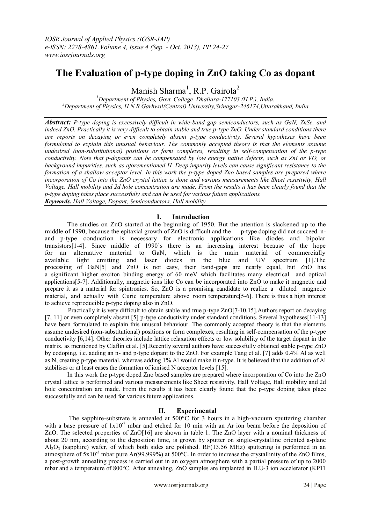# **The Evaluation of p-type doping in ZnO taking Co as dopant**

Manish Sharma<sup>1</sup>, R.P. Gairola<sup>2</sup>

*<sup>1</sup>Department of Physics, Govt. College Dhaliara-177103 (H.P.), India. <sup>2</sup>Department of Physics, H.N.B Garhwal(Central) University,Srinagar-246174,Uttarakhand, India*

*Abstract: P-type doping is excessively difficult in wide-band gap semiconductors, such as GaN, ZnSe, and indeed ZnO. Practically it is very difficult to obtain stable and true p-type ZnO. Under standard conditions there are reports on decaying or even completely absent p-type conductivity. Several hypotheses have been formulated to explain this unusual behaviour. The commonly accepted theory is that the elements assume undesired (non-substitutional) positions or form complexes, resulting in self-compensation of the p-type conductivity. Note that p-dopants can be compensated by low energy native defects, such as Zni or VO, or background impurities, such as aforementioned H. Deep impurity levels can cause significant resistance to the formation of a shallow acceptor level. In this work the p-type doped Zno based samples are prepared where incorporation of Co into the ZnO crystal lattice is done and various measurements like Sheet resistivity, Hall Voltage, Hall mobility and 2d hole concentration are made. From the results it has been clearly found that the p-type doping takes place successfully and can be used for various future applications. Keywords. Hall Voltage, Dopant, Semiconductors, Hall mobility*

## **I. Introduction**

The studies on ZnO started at the beginning of 1950. But the attention is slackened up to the middle of 1990, because the epitaxial growth of ZnO is difficult and the p-type doping did not succeed. nand p-type conduction is necessary for electronic applications like diodes and bipolar transistors[1-4]. Since middle of 1990's there is an increasing interest because of the hope for an alternative material to GaN, which is the main material of commercially available light emitting and laser diodes in the blue and UV spectrum [1].The processing of GaN[5] and ZnO is not easy, their band-gaps are nearly equal, but ZnO has a significant higher exciton binding energy of 60 meV which facilitates many electrical and optical applications[5-7]. Additionally, magnetic ions like Co can be incorporated into ZnO to make it magnetic and prepare it as a material for spintronics. So, ZnO is a promising candidate to realize a diluted magnetic material, and actually with Curie temperature above room temperature[5-6]. There is thus a high interest to achieve reproducible p-type doping also in ZnO.

 Practically it is very difficult to obtain stable and true p-type ZnO[7-10,15].Authors report on decaying [7, 11] or even completely absent [5] p-type conductivity under standard conditions. Several hypotheses[11-13] have been formulated to explain this unusual behaviour. The commonly accepted theory is that the elements assume undesired (non-substitutional) positions or form complexes, resulting in self-compensation of the p-type conductivity [6,14]. Other theories include lattice relaxation effects or low solubility of the target dopant in the matrix, as mentioned by Claflin et al. [5].Recently several authors have successfully obtained stable p-type ZnO by codoping, i.e. adding an n- and p-type dopant to the ZnO. For example Tang et al. [7] adds 0.4% Al as well as N, creating p-type material, whereas adding 1% Al would make it n-type. It is believed that the addition of Al stabilises or at least eases the formation of ionised N acceptor levels [15].

In this work the p-type doped Zno based samples are prepared where incorporation of Co into the ZnO crystal lattice is performed and various measurements like Sheet resistivity, Hall Voltage, Hall mobility and 2d hole concentration are made. From the results it has been clearly found that the p-type doping takes place successfully and can be used for various future applications.

## **II. Experimental**

The sapphire-substrate is annealed at  $500^{\circ}$ C for 3 hours in a high-vacuum sputtering chamber with a base pressure of  $1x10<sup>-7</sup>$  mbar and etched for 10 min with an Ar ion beam before the deposition of ZnO. The selected properties of ZnO[16] are shown in table 1. The ZnO layer with a nominal thickness of about 20 nm, according to the deposition time, is grown by sputter on single-crystalline oriented a-plane  $A<sub>1</sub>Q<sub>3</sub>$  (sapphire) wafer, of which both sides are polished. RF(13.56 MHz) sputtering is performed in an atmosphere of  $5x10^{-3}$  mbar pure Ar(99.999%) at  $500^{\circ}$ C. In order to increase the crystallinity of the ZnO films, a post-growth annealing process is carried out in an oxygen atmosphere with a partial pressure of up to 2000 mbar and a temperature of 800°C. After annealing, ZnO samples are implanted in ILU-3 ion accelerator (KPTI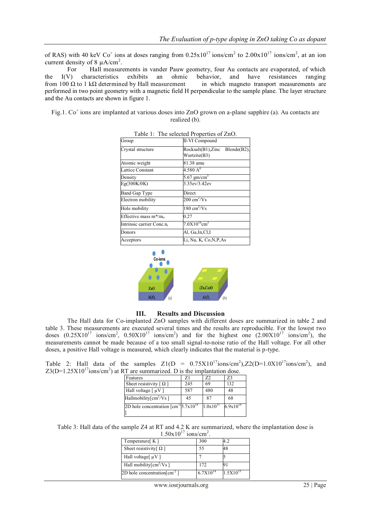of RAS) with 40 keV Co<sup>+</sup> ions at doses ranging from  $0.25 \times 10^{17}$  ions/cm<sup>2</sup> to  $2.00 \times 10^{17}$  ions/cm<sup>2</sup>, at an ion current density of 8  $\mu$ A/cm<sup>2</sup>.

For Hall measurements in vander Pauw geometry, four Au contacts are evaporated, of which the I(V) characteristics exhibits an ohmic behavior, and have resistances ranging from 100  $\Omega$  to 1 k $\Omega$  determined by Hall measurement in which magneto transport measurements are performed in two point geometry with a magnetic field H perpendicular to the sample plane. The layer structure and the Au contacts are shown in figure 1.

Fig.1. Co<sup>+</sup> ions are implanted at various doses into ZnO grown on a-plane sapphire (a). Au contacts are realized (b).

| Group                                 | <b>II-VI Compound</b>                            |
|---------------------------------------|--------------------------------------------------|
| Crystal structure                     | $Rocksalt(B1), Zinc$ Blende(B2),<br>Wurtzite(B3) |
| Atomic weight                         | 81.38 amu                                        |
| <b>Lattice Constant</b>               | $4.580\ \mathrm{A}^0$                            |
| Density                               | 5.67 gm/cm <sup>3</sup>                          |
| Eg(300K/0K)                           | 3.35ev/3.42ev                                    |
| Band Gap Type                         | Direct                                           |
| Electron mobility                     | $200 \text{ cm}^2/\text{Vs}$                     |
| Hole mobility                         | $180 \text{ cm}^2/\text{Vs}$                     |
| Effective mass $m^*/m_0$              | 0.27                                             |
| Intrinsic carrier Conc.n <sub>i</sub> | $7.0X10^{16}$ cm <sup>3</sup>                    |
| Donors                                | Al, Ga,In,Cl,I                                   |
| Acceptors                             | Li, Na, K, Co, N, P, As                          |

Table 1: The selected Properties of ZnO.



## **III. Results and Discussion**

 The Hall data for Co-implanted ZnO samples with different doses are summarized in table 2 and table 3. These measurements are executed several times and the results are reproducible. For the lowest two doses  $(0.25X10^{17} \text{ ions/cm}^2$ ,  $0.50X10^{17} \text{ ions/cm}^2$  and for the highest one  $(2.00X10^{17} \text{ ions/cm}^2)$ , the measurements cannot be made because of a too small signal-to-noise ratio of the Hall voltage. For all other doses, a positive Hall voltage is measured, which clearly indicates that the material is p-type.

|                                                                                              |  |  |  |  |  |  |  |  | Table 2: Hall data of the samples $Z1(D = 0.75X10^{17} \text{ions/cm}^2)$ , $Z2(D=1.0X10^{17} \text{ions/cm}^2)$ , and |  |
|----------------------------------------------------------------------------------------------|--|--|--|--|--|--|--|--|------------------------------------------------------------------------------------------------------------------------|--|
| $Z3(D=1.25X10^{17}$ ions/cm <sup>2</sup> ) at RT are summarized. D is the implantation dose. |  |  |  |  |  |  |  |  |                                                                                                                        |  |

| Features                                                    | 71  | 72            | 73            |
|-------------------------------------------------------------|-----|---------------|---------------|
| Sheet resistivity $\lceil \Omega \rceil$                    | 245 | 69            | 132           |
| Hall voltage $\lceil \mu V \rceil$                          | 587 | 480           | 48            |
| Hallmobility[ $\text{cm}^2/\text{Vs}$ ]                     | 45  | 87            | 68            |
| 2D hole concentration $\text{[cm}^{-2}5.7 \text{x} 10^{14}$ |     | $1.0x10^{15}$ | $6.9x10^{14}$ |
|                                                             |     |               |               |

Table 3: Hall data of the sample Z4 at RT and 4.2 K are summarized, where the implantation dose is  $1.50x10^{17}$  ions/cm<sup>2</sup> .

| Temperature[ K ]                         | 300           | 4.2           |
|------------------------------------------|---------------|---------------|
| Sheet resistivity $\Omega$ ]             | 55            |               |
| Hall voltage $\mu V$ ]                   |               |               |
| Hall mobility[cm <sup>2</sup> /Vs]       | 172           |               |
| 2D hole concentration $\text{cm}^{-2}$ ] | $6.7X10^{14}$ | $1.5X10^{15}$ |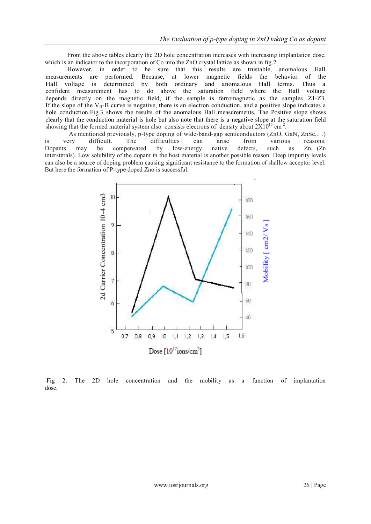From the above tables clearly the 2D hole concentration increases with increasing implantation dose, which is an indicator to the incorporation of Co into the ZnO crystal lattice as shown in fig.2.

 However, in order to be sure that this results are trustable, anomalous Hall measurements are performed. Because, at lower magnetic fields the behavior of the Hall voltage is determined by both ordinary and anomalous Hall terms. Thus a confident measurement has to do above the saturation field where the Hall voltage depends directly on the magnetic field, if the sample is ferromagnetic as the samples Z1-Z3. If the slope of the  $V_H$ -B curve is negative, there is an electron conduction, and a positive slope indicates a hole conduction.Fig.3 shows the results of the anomalous Hall measurements. The Positive slope shows clearly that the conduction material is hole but also note that there is a negative slope at the saturation field showing that the formed material system also consists electrons of density about  $2X10^{15}$  cm<sup>-2</sup>.

 As mentioned previously, p-type doping of wide-band-gap semiconductors (ZnO, GaN, ZnSe,…) is very difficult. The difficulties can arise from various reasons. Dopants may be compensated by low-energy native defects, such as  $Zn_i$  (Zn interstitials). Low solubility of the dopant in the host material is another possible reason. Deep impurity levels can also be a source of doping problem causing significant resistance to the formation of shallow acceptor level. But here the formation of P-type doped Zno is successful.



Fig 2: The 2D hole concentration and the mobility as a function of implantation dose.